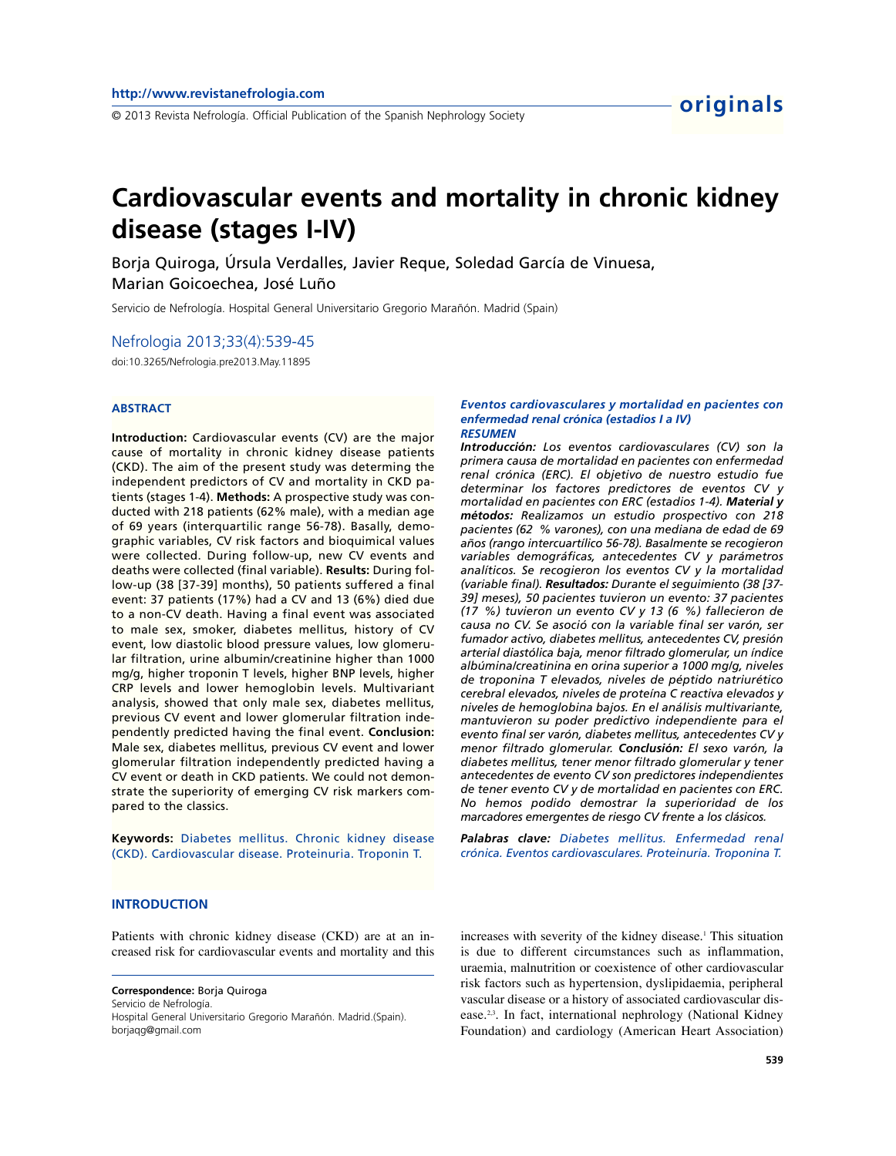# **Cardiovascular events and mortality in chronic kidney disease (stages I-IV)**

Borja Quiroga, Úrsula Verdalles, Javier Reque, Soledad García de Vinuesa, Marian Goicoechea, José Luño

Servicio de Nefrología. Hospital General Universitario Gregorio Marañón. Madrid (Spain)

Nefrologia 2013;33(4):539-45

doi:10.3265/Nefrologia.pre2013.May.11895

## **ABSTRACT**

**Introduction:** Cardiovascular events (CV) are the major cause of mortality in chronic kidney disease patients (CKD). The aim of the present study was determing the independent predictors of CV and mortality in CKD patients (stages 1-4). **Methods:** A prospective study was conducted with 218 patients (62% male), with a median age of 69 years (interquartilic range 56-78). Basally, demographic variables, CV risk factors and bioquimical values were collected. During follow-up, new CV events and deaths were collected (final variable). **Results:** During follow-up (38 [37-39] months), 50 patients suffered a final event: 37 patients (17%) had a CV and 13 (6%) died due to a non-CV death. Having a final event was associated to male sex, smoker, diabetes mellitus, history of CV event, low diastolic blood pressure values, low glomerular filtration, urine albumin/creatinine higher than 1000 mg/g, higher troponin T levels, higher BNP levels, higher CRP levels and lower hemoglobin levels. Multivariant analysis, showed that only male sex, diabetes mellitus, previous CV event and lower glomerular filtration independently predicted having the final event. **Conclusion:** Male sex, diabetes mellitus, previous CV event and lower glomerular filtration independently predicted having a CV event or death in CKD patients. We could not demonstrate the superiority of emerging CV risk markers compared to the classics.

**Keywords:** Diabetes mellitus. Chronic kidney disease (CKD). Cardiovascular disease. Proteinuria. Troponin T.

#### *Eventos cardiovasculares y mortalidad en pacientes con enfermedad renal crónica (estadios I a IV) RESUMEN*

*Introducción: Los eventos cardiovasculares (CV) son la primera causa de mortalidad en pacientes con enfermedad renal crónica (ERC). El objetivo de nuestro estudio fue determinar los factores predictores de eventos CV y mortalidad en pacientes con ERC (estadios 1-4). Material y métodos: Realizamos un estudio prospectivo con 218 pacientes (62 % varones), con una mediana de edad de 69 años (rango intercuartílico 56-78). Basalmente se recogieron variables demográficas, antecedentes CV y parámetros analíticos. Se recogieron los eventos CV y la mortalidad (variable final). Resultados: Durante el seguimiento (38 [37- 39] meses), 50 pacientes tuvieron un evento: 37 pacientes (17 %) tuvieron un evento CV y 13 (6 %) fallecieron de causa no CV. Se asoció con la variable final ser varón, ser fumador activo, diabetes mellitus, antecedentes CV, presión arterial diastólica baja, menor filtrado glomerular, un índice albúmina/creatinina en orina superior a 1000 mg/g, niveles de troponina T elevados, niveles de péptido natriurético cerebral elevados, niveles de proteína C reactiva elevados y niveles de hemoglobina bajos. En el análisis multivariante, mantuvieron su poder predictivo independiente para el evento final ser varón, diabetes mellitus, antecedentes CV y menor filtrado glomerular. Conclusión: El sexo varón, la diabetes mellitus, tener menor filtrado glomerular y tener antecedentes de evento CV son predictores independientes de tener evento CV y de mortalidad en pacientes con ERC. No hemos podido demostrar la superioridad de los marcadores emergentes de riesgo CV frente a los clásicos.*

*Palabras clave: Diabetes mellitus. Enfermedad renal crónica. Eventos cardiovasculares. Proteinuria. Troponina T.*

## **INTRODUCTION**

Patients with chronic kidney disease (CKD) are at an increased risk for cardiovascular events and mortality and this

**Correspondence:** Borja Quiroga Servicio de Nefrología. Hospital General Universitario Gregorio Marañón. Madrid.(Spain). borjaqg@gmail.com

increases with severity of the kidney disease.<sup>1</sup> This situation is due to different circumstances such as inflammation, uraemia, malnutrition or coexistence of other cardiovascular risk factors such as hypertension, dyslipidaemia, peripheral vascular disease or a history of associated cardiovascular disease.<sup>2,3</sup>. In fact, international nephrology (National Kidney Foundation) and cardiology (American Heart Association)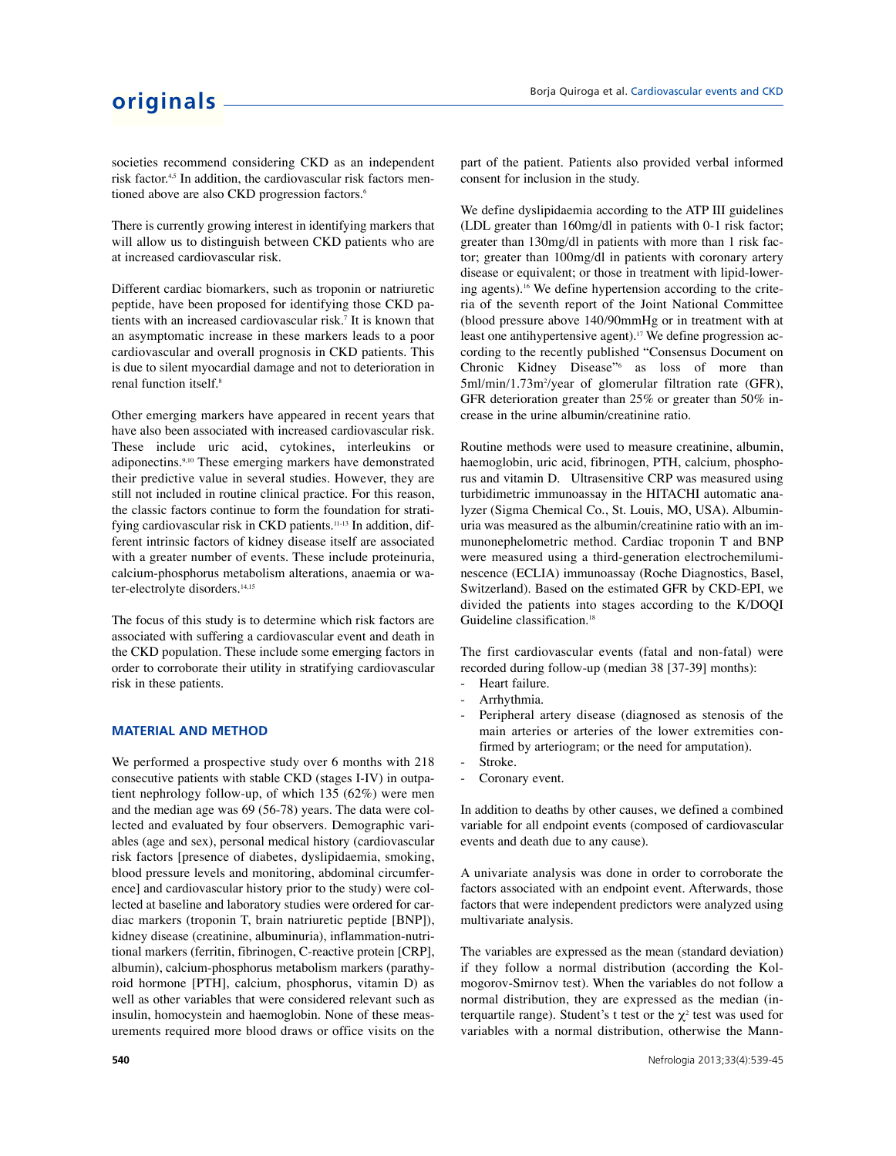societies recommend considering CKD as an independent risk factor.<sup>4,5</sup> In addition, the cardiovascular risk factors mentioned above are also CKD progression factors.<sup>6</sup>

There is currently growing interest in identifying markers that will allow us to distinguish between CKD patients who are at increased cardiovascular risk.

Different cardiac biomarkers, such as troponin or natriuretic peptide, have been proposed for identifying those CKD patients with an increased cardiovascular risk.<sup>7</sup> It is known that an asymptomatic increase in these markers leads to a poor cardiovascular and overall prognosis in CKD patients. This is due to silent myocardial damage and not to deterioration in renal function itself.<sup>8</sup>

Other emerging markers have appeared in recent years that have also been associated with increased cardiovascular risk. These include uric acid, cytokines, interleukins or adiponectins.9,10 These emerging markers have demonstrated their predictive value in several studies. However, they are still not included in routine clinical practice. For this reason, the classic factors continue to form the foundation for stratifying cardiovascular risk in CKD patients.<sup>11-13</sup> In addition, different intrinsic factors of kidney disease itself are associated with a greater number of events. These include proteinuria, calcium-phosphorus metabolism alterations, anaemia or water-electrolyte disorders.<sup>14,15</sup>

The focus of this study is to determine which risk factors are associated with suffering a cardiovascular event and death in the CKD population. These include some emerging factors in order to corroborate their utility in stratifying cardiovascular risk in these patients.

## **MATERIAL AND METHOD**

We performed a prospective study over 6 months with 218 consecutive patients with stable CKD (stages I-IV) in outpatient nephrology follow-up, of which 135 (62%) were men and the median age was 69 (56-78) years. The data were collected and evaluated by four observers. Demographic variables (age and sex), personal medical history (cardiovascular risk factors [presence of diabetes, dyslipidaemia, smoking, blood pressure levels and monitoring, abdominal circumference] and cardiovascular history prior to the study) were collected at baseline and laboratory studies were ordered for cardiac markers (troponin T, brain natriuretic peptide [BNP]), kidney disease (creatinine, albuminuria), inflammation-nutritional markers (ferritin, fibrinogen, C-reactive protein [CRP], albumin), calcium-phosphorus metabolism markers (parathyroid hormone [PTH], calcium, phosphorus, vitamin D) as well as other variables that were considered relevant such as insulin, homocystein and haemoglobin. None of these measurements required more blood draws or office visits on the

part of the patient. Patients also provided verbal informed consent for inclusion in the study.

We define dyslipidaemia according to the ATP III guidelines (LDL greater than 160mg/dl in patients with 0-1 risk factor; greater than 130mg/dl in patients with more than 1 risk factor; greater than 100mg/dl in patients with coronary artery disease or equivalent; or those in treatment with lipid-lowering agents).<sup>16</sup> We define hypertension according to the criteria of the seventh report of the Joint National Committee (blood pressure above 140/90mmHg or in treatment with at least one antihypertensive agent).<sup>17</sup> We define progression according to the recently published "Consensus Document on Chronic Kidney Disease"<sup>6</sup> as loss of more than 5ml/min/1.73m<sup>2</sup>/year of glomerular filtration rate (GFR), GFR deterioration greater than 25% or greater than 50% increase in the urine albumin/creatinine ratio.

Routine methods were used to measure creatinine, albumin, haemoglobin, uric acid, fibrinogen, PTH, calcium, phosphorus and vitamin D. Ultrasensitive CRP was measured using turbidimetric immunoassay in the HITACHI automatic analyzer (Sigma Chemical Co., St. Louis, MO, USA). Albuminuria was measured as the albumin/creatinine ratio with an immunonephelometric method. Cardiac troponin T and BNP were measured using a third-generation electrochemiluminescence (ECLIA) immunoassay (Roche Diagnostics, Basel, Switzerland). Based on the estimated GFR by CKD-EPI, we divided the patients into stages according to the K/DOQI Guideline classification.<sup>18</sup>

The first cardiovascular events (fatal and non-fatal) were recorded during follow-up (median 38 [37-39] months):

- Heart failure.
- Arrhythmia.
- Peripheral artery disease (diagnosed as stenosis of the main arteries or arteries of the lower extremities confirmed by arteriogram; or the need for amputation).
- Stroke.
- Coronary event.

In addition to deaths by other causes, we defined a combined variable for all endpoint events (composed of cardiovascular events and death due to any cause).

A univariate analysis was done in order to corroborate the factors associated with an endpoint event. Afterwards, those factors that were independent predictors were analyzed using multivariate analysis.

The variables are expressed as the mean (standard deviation) if they follow a normal distribution (according the Kolmogorov-Smirnov test). When the variables do not follow a normal distribution, they are expressed as the median (interquartile range). Student's t test or the  $\chi^2$  test was used for variables with a normal distribution, otherwise the Mann-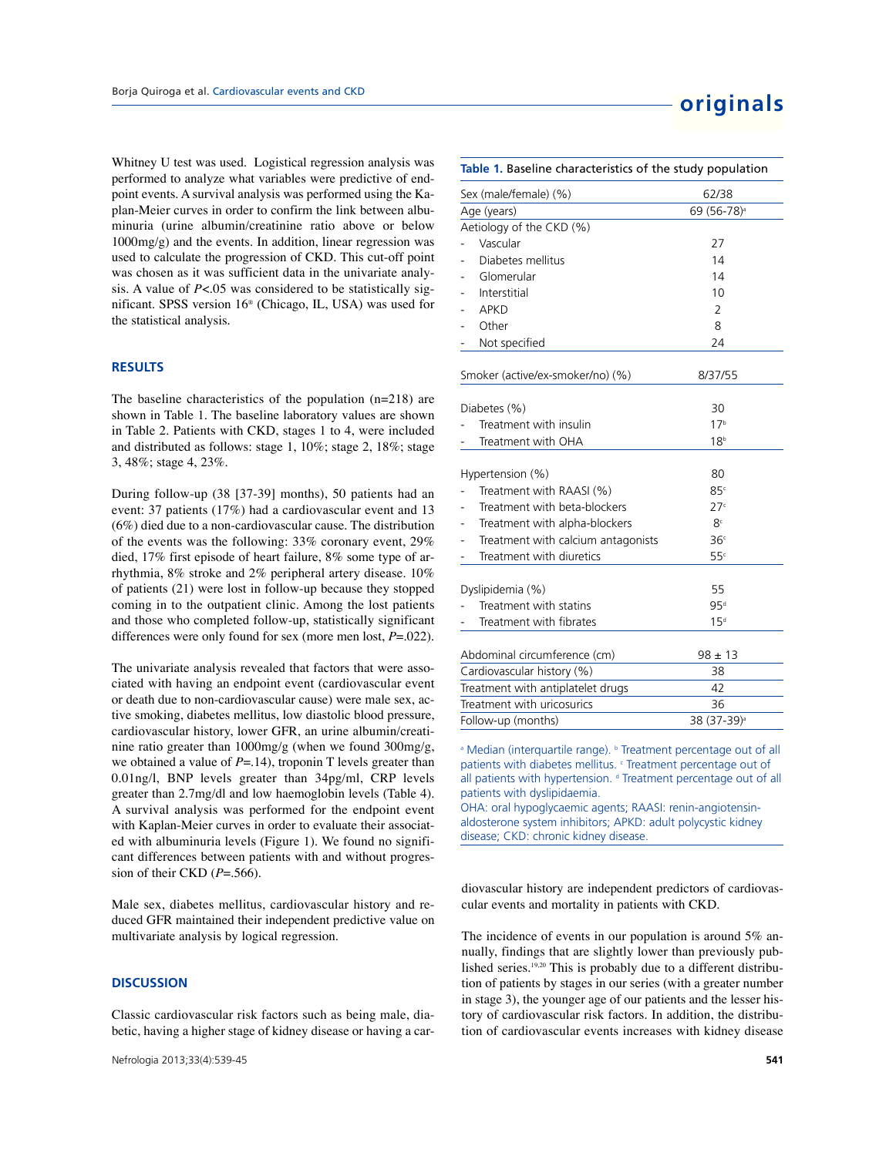Whitney U test was used. Logistical regression analysis was performed to analyze what variables were predictive of endpoint events. A survival analysis was performed using the Kaplan-Meier curves in order to confirm the link between albuminuria (urine albumin/creatinine ratio above or below 1000mg/g) and the events. In addition, linear regression was used to calculate the progression of CKD. This cut-off point was chosen as it was sufficient data in the univariate analysis. A value of  $P<.05$  was considered to be statistically significant. SPSS version 16® (Chicago, IL, USA) was used for the statistical analysis.

## **RESULTS**

The baseline characteristics of the population (n=218) are shown in Table 1. The baseline laboratory values are shown in Table 2. Patients with CKD, stages 1 to 4, were included and distributed as follows: stage 1, 10%; stage 2, 18%; stage 3, 48%; stage 4, 23%.

During follow-up (38 [37-39] months), 50 patients had an event: 37 patients (17%) had a cardiovascular event and 13 (6%) died due to a non-cardiovascular cause. The distribution of the events was the following: 33% coronary event, 29% died, 17% first episode of heart failure, 8% some type of arrhythmia, 8% stroke and 2% peripheral artery disease. 10% of patients (21) were lost in follow-up because they stopped coming in to the outpatient clinic. Among the lost patients and those who completed follow-up, statistically significant differences were only found for sex (more men lost, *P*=.022).

The univariate analysis revealed that factors that were associated with having an endpoint event (cardiovascular event or death due to non-cardiovascular cause) were male sex, active smoking, diabetes mellitus, low diastolic blood pressure, cardiovascular history, lower GFR, an urine albumin/creatinine ratio greater than 1000mg/g (when we found 300mg/g, we obtained a value of  $P = .14$ ), troponin T levels greater than 0.01ng/l, BNP levels greater than 34pg/ml, CRP levels greater than 2.7mg/dl and low haemoglobin levels (Table 4). A survival analysis was performed for the endpoint event with Kaplan-Meier curves in order to evaluate their associated with albuminuria levels (Figure 1). We found no significant differences between patients with and without progression of their CKD (*P*=.566).

Male sex, diabetes mellitus, cardiovascular history and reduced GFR maintained their independent predictive value on multivariate analysis by logical regression.

#### **DISCUSSION**

Classic cardiovascular risk factors such as being male, diabetic, having a higher stage of kidney disease or having a car-

| Table 1. Baseline characteristics of the study population |                                    |                         |  |  |
|-----------------------------------------------------------|------------------------------------|-------------------------|--|--|
| Sex (male/female) (%)                                     |                                    | 62/38                   |  |  |
|                                                           | Age (years)                        | 69 (56-78) <sup>a</sup> |  |  |
|                                                           | Aetiology of the CKD (%)           |                         |  |  |
|                                                           | Vascular                           | 27                      |  |  |
|                                                           | Diabetes mellitus                  | 14                      |  |  |
|                                                           | Glomerular                         | 14                      |  |  |
|                                                           | Interstitial                       | 10                      |  |  |
|                                                           | <b>APKD</b>                        | 2                       |  |  |
|                                                           | Other                              | 8                       |  |  |
|                                                           | Not specified                      | 24                      |  |  |
|                                                           | Smoker (active/ex-smoker/no) (%)   | 8/37/55                 |  |  |
|                                                           | Diabetes (%)                       | 30                      |  |  |
|                                                           | Treatment with insulin             | 17 <sup>b</sup>         |  |  |
|                                                           | Treatment with OHA                 | 18 <sup>b</sup>         |  |  |
|                                                           | Hypertension (%)                   | 80                      |  |  |
|                                                           | Treatment with RAASI (%)           | 85c                     |  |  |
|                                                           | Treatment with beta-blockers       | 27 <sup>c</sup>         |  |  |
|                                                           | Treatment with alpha-blockers      | 8 <sup>c</sup>          |  |  |
|                                                           | Treatment with calcium antagonists | 36 <sup>c</sup>         |  |  |
|                                                           | Treatment with diuretics           | 55 <sup>c</sup>         |  |  |
|                                                           | Dyslipidemia (%)                   | 55                      |  |  |
|                                                           | Treatment with statins             | 95 <sup>d</sup>         |  |  |
|                                                           | Treatment with fibrates            | 15 <sup>d</sup>         |  |  |
|                                                           | Abdominal circumference (cm)       | $98 \pm 13$             |  |  |
| Cardiovascular history (%)                                |                                    | 38                      |  |  |
| Treatment with antiplatelet drugs                         |                                    | 42                      |  |  |
|                                                           | Treatment with uricosurics         | 36                      |  |  |
|                                                           | Follow-up (months)                 | 38 (37-39) <sup>a</sup> |  |  |

<sup>a</sup> Median (interquartile range). <sup>b</sup> Treatment percentage out of all patients with diabetes mellitus. <sup>c</sup> Treatment percentage out of all patients with hypertension. d Treatment percentage out of all patients with dyslipidaemia.

OHA: oral hypoglycaemic agents; RAASI: renin-angiotensinaldosterone system inhibitors; APKD: adult polycystic kidney disease; CKD: chronic kidney disease.

diovascular history are independent predictors of cardiovascular events and mortality in patients with CKD.

The incidence of events in our population is around 5% annually, findings that are slightly lower than previously published series.19,20 This is probably due to a different distribution of patients by stages in our series (with a greater number in stage 3), the younger age of our patients and the lesser history of cardiovascular risk factors. In addition, the distribution of cardiovascular events increases with kidney disease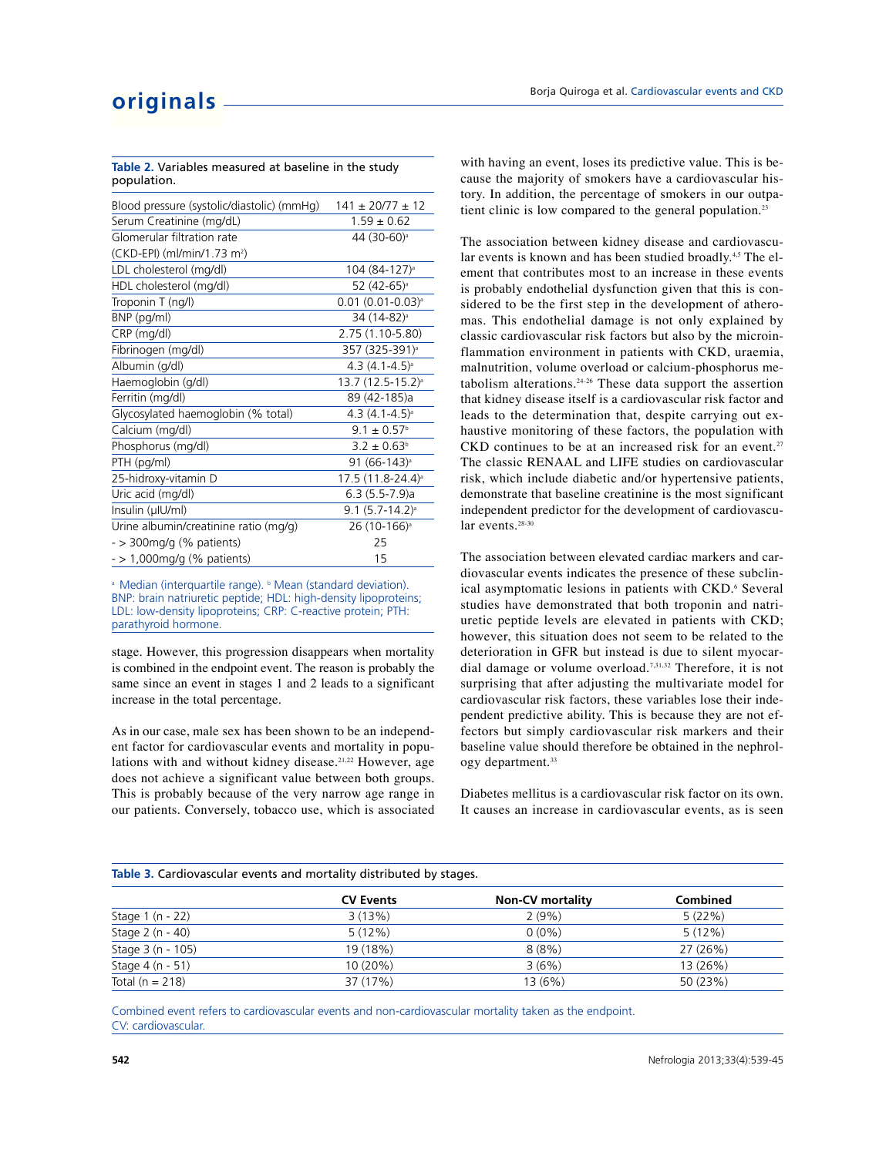| Blood pressure (systolic/diastolic) (mmHg) | $141 \pm 20/77 \pm 12$        |
|--------------------------------------------|-------------------------------|
| Serum Creatinine (mg/dL)                   | $1.59 \pm 0.62$               |
| Glomerular filtration rate                 | 44 (30-60) <sup>a</sup>       |
| (CKD-EPI) (ml/min/1.73 m <sup>2</sup> )    |                               |
| LDL cholesterol (mg/dl)                    | 104 (84-127) <sup>a</sup>     |
| HDL cholesterol (mg/dl)                    | 52 (42-65) <sup>a</sup>       |
| Troponin T (ng/l)                          | $0.01(0.01-0.03)^{a}$         |
| BNP (pg/ml)                                | 34 (14-82) <sup>a</sup>       |
| CRP (mg/dl)                                | 2.75 (1.10-5.80)              |
| Fibrinogen (mg/dl)                         | 357 (325-391) <sup>a</sup>    |
| Albumin (g/dl)                             | $4.3(4.1-4.5)$ <sup>a</sup>   |
| Haemoglobin (g/dl)                         | 13.7 (12.5-15.2) <sup>a</sup> |
| Ferritin (mg/dl)                           | 89 (42-185)a                  |
| Glycosylated haemoglobin (% total)         | $4.3(4.1 - 4.5)$ <sup>a</sup> |
| Calcium (mg/dl)                            | $9.1 \pm 0.57^{\circ}$        |
| Phosphorus (mg/dl)                         | $3.2 \pm 0.63^{\circ}$        |
| PTH (pg/ml)                                | 91 (66-143) <sup>a</sup>      |
| 25-hidroxy-vitamin D                       | 17.5 (11.8-24.4) <sup>a</sup> |
| Uric acid (mg/dl)                          | $6.3(5.5-7.9)a$               |
| Insulin (µIU/ml)                           | $9.1 (5.7 - 14.2)^{a}$        |
| Urine albumin/creatinine ratio (mg/g)      | 26 (10-166) <sup>a</sup>      |
| $-$ > 300 mg/g (% patients)                | 25                            |
| $-$ > 1,000mg/g (% patients)               | 15                            |

**Table 2.** Variables measured at baseline in the study population.

<sup>a</sup> Median (interquartile range). <sup>b</sup> Mean (standard deviation). BNP: brain natriuretic peptide; HDL: high-density lipoproteins; LDL: low-density lipoproteins; CRP: C-reactive protein; PTH: parathyroid hormone.

stage. However, this progression disappears when mortality is combined in the endpoint event. The reason is probably the same since an event in stages 1 and 2 leads to a significant increase in the total percentage.

As in our case, male sex has been shown to be an independent factor for cardiovascular events and mortality in populations with and without kidney disease.<sup>21,22</sup> However, age does not achieve a significant value between both groups. This is probably because of the very narrow age range in our patients. Conversely, tobacco use, which is associated with having an event, loses its predictive value. This is because the majority of smokers have a cardiovascular history. In addition, the percentage of smokers in our outpatient clinic is low compared to the general population.<sup>23</sup>

The association between kidney disease and cardiovascular events is known and has been studied broadly.<sup>4,5</sup> The element that contributes most to an increase in these events is probably endothelial dysfunction given that this is considered to be the first step in the development of atheromas. This endothelial damage is not only explained by classic cardiovascular risk factors but also by the microinflammation environment in patients with CKD, uraemia, malnutrition, volume overload or calcium-phosphorus metabolism alterations.24-26 These data support the assertion that kidney disease itself is a cardiovascular risk factor and leads to the determination that, despite carrying out exhaustive monitoring of these factors, the population with CKD continues to be at an increased risk for an event.<sup>27</sup> The classic RENAAL and LIFE studies on cardiovascular risk, which include diabetic and/or hypertensive patients, demonstrate that baseline creatinine is the most significant independent predictor for the development of cardiovascular events.<sup>28-30</sup>

The association between elevated cardiac markers and cardiovascular events indicates the presence of these subclinical asymptomatic lesions in patients with CKD.<sup>6</sup> Several studies have demonstrated that both troponin and natriuretic peptide levels are elevated in patients with CKD; however, this situation does not seem to be related to the deterioration in GFR but instead is due to silent myocardial damage or volume overload.7,31,32 Therefore, it is not surprising that after adjusting the multivariate model for cardiovascular risk factors, these variables lose their independent predictive ability. This is because they are not effectors but simply cardiovascular risk markers and their baseline value should therefore be obtained in the nephrology department.<sup>33</sup>

Diabetes mellitus is a cardiovascular risk factor on its own. It causes an increase in cardiovascular events, as is seen

| Table 3. Cardiovascular events and mortality distributed by stages. |  |
|---------------------------------------------------------------------|--|
|---------------------------------------------------------------------|--|

| <b>CV Events</b> | <b>Non-CV mortality</b> | <b>Combined</b> |  |
|------------------|-------------------------|-----------------|--|
| 3(13%)           | 2(9%)                   | 5(22%)          |  |
| 5(12%)           | $0(0\%)$                | 5(12%)          |  |
| 19 (18%)         | 8(8%)                   | 27 (26%)        |  |
| $10(20\%)$       | 3(6%)                   | 13 (26%)        |  |
| 37 (17%)         | 13(6%)                  | 50 (23%)        |  |
|                  |                         |                 |  |

Combined event refers to cardiovascular events and non-cardiovascular mortality taken as the endpoint. CV: cardiovascular.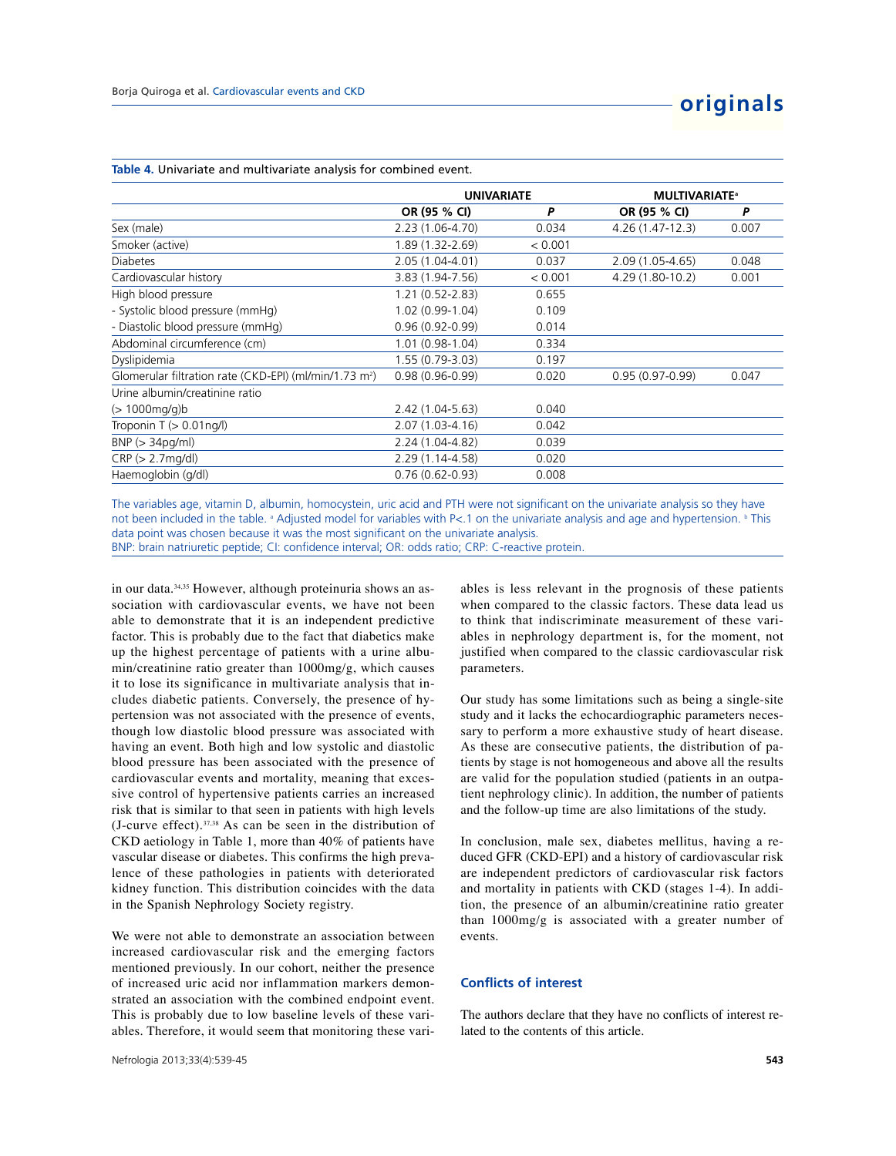|                                                                    | <b>UNIVARIATE</b>   |         | <b>MULTIVARIATE<sup>®</sup></b> |       |
|--------------------------------------------------------------------|---------------------|---------|---------------------------------|-------|
|                                                                    | OR (95 % CI)        | P       | OR (95 % CI)                    | P     |
| Sex (male)                                                         | 2.23 (1.06-4.70)    | 0.034   | $4.26(1.47-12.3)$               | 0.007 |
| Smoker (active)                                                    | 1.89 (1.32-2.69)    | < 0.001 |                                 |       |
| <b>Diabetes</b>                                                    | 2.05 (1.04-4.01)    | 0.037   | 2.09 (1.05-4.65)                | 0.048 |
| Cardiovascular history                                             | 3.83 (1.94-7.56)    | < 0.001 | 4.29 (1.80-10.2)                | 0.001 |
| High blood pressure                                                | $1.21(0.52 - 2.83)$ | 0.655   |                                 |       |
| - Systolic blood pressure (mmHg)                                   | 1.02 (0.99-1.04)    | 0.109   |                                 |       |
| - Diastolic blood pressure (mmHg)                                  | $0.96(0.92 - 0.99)$ | 0.014   |                                 |       |
| Abdominal circumference (cm)                                       | $1.01(0.98-1.04)$   | 0.334   |                                 |       |
| Dyslipidemia                                                       | 1.55 (0.79-3.03)    | 0.197   |                                 |       |
| Glomerular filtration rate (CKD-EPI) (ml/min/1.73 m <sup>2</sup> ) | $0.98(0.96 - 0.99)$ | 0.020   | $0.95(0.97 - 0.99)$             | 0.047 |
| Urine albumin/creatinine ratio                                     |                     |         |                                 |       |
| $(> 1000$ mg/g) b                                                  | 2.42 (1.04-5.63)    | 0.040   |                                 |       |
| Troponin $T > 0.01$ ng/l)                                          | 2.07 (1.03-4.16)    | 0.042   |                                 |       |
| BNP (> 34pq/ml)                                                    | 2.24 (1.04-4.82)    | 0.039   |                                 |       |
| CRP (> 2.7mq/dl)                                                   | 2.29 (1.14-4.58)    | 0.020   |                                 |       |
| Haemoglobin (g/dl)                                                 | $0.76(0.62 - 0.93)$ | 0.008   |                                 |       |

#### **Table 4.** Univariate and multivariate analysis for combined event.

The variables age, vitamin D, albumin, homocystein, uric acid and PTH were not significant on the univariate analysis so they have not been included in the table. <sup>a</sup> Adjusted model for variables with P<.1 on the univariate analysis and age and hypertension. <sup>b</sup> This data point was chosen because it was the most significant on the univariate analysis.

BNP: brain natriuretic peptide; CI: confidence interval; OR: odds ratio; CRP: C-reactive protein.

in our data.<sup>34,35</sup> However, although proteinuria shows an association with cardiovascular events, we have not been able to demonstrate that it is an independent predictive factor. This is probably due to the fact that diabetics make up the highest percentage of patients with a urine albumin/creatinine ratio greater than 1000mg/g, which causes it to lose its significance in multivariate analysis that includes diabetic patients. Conversely, the presence of hypertension was not associated with the presence of events, though low diastolic blood pressure was associated with having an event. Both high and low systolic and diastolic blood pressure has been associated with the presence of cardiovascular events and mortality, meaning that excessive control of hypertensive patients carries an increased risk that is similar to that seen in patients with high levels (J-curve effect). $37,38$  As can be seen in the distribution of CKD aetiology in Table 1, more than 40% of patients have vascular disease or diabetes. This confirms the high prevalence of these pathologies in patients with deteriorated kidney function. This distribution coincides with the data in the Spanish Nephrology Society registry.

We were not able to demonstrate an association between increased cardiovascular risk and the emerging factors mentioned previously. In our cohort, neither the presence of increased uric acid nor inflammation markers demonstrated an association with the combined endpoint event. This is probably due to low baseline levels of these variables. Therefore, it would seem that monitoring these variables is less relevant in the prognosis of these patients when compared to the classic factors. These data lead us to think that indiscriminate measurement of these variables in nephrology department is, for the moment, not justified when compared to the classic cardiovascular risk parameters.

Our study has some limitations such as being a single-site study and it lacks the echocardiographic parameters necessary to perform a more exhaustive study of heart disease. As these are consecutive patients, the distribution of patients by stage is not homogeneous and above all the results are valid for the population studied (patients in an outpatient nephrology clinic). In addition, the number of patients and the follow-up time are also limitations of the study.

In conclusion, male sex, diabetes mellitus, having a reduced GFR (CKD-EPI) and a history of cardiovascular risk are independent predictors of cardiovascular risk factors and mortality in patients with CKD (stages 1-4). In addition, the presence of an albumin/creatinine ratio greater than 1000mg/g is associated with a greater number of events.

## **Conflicts of interest**

The authors declare that they have no conflicts of interest related to the contents of this article.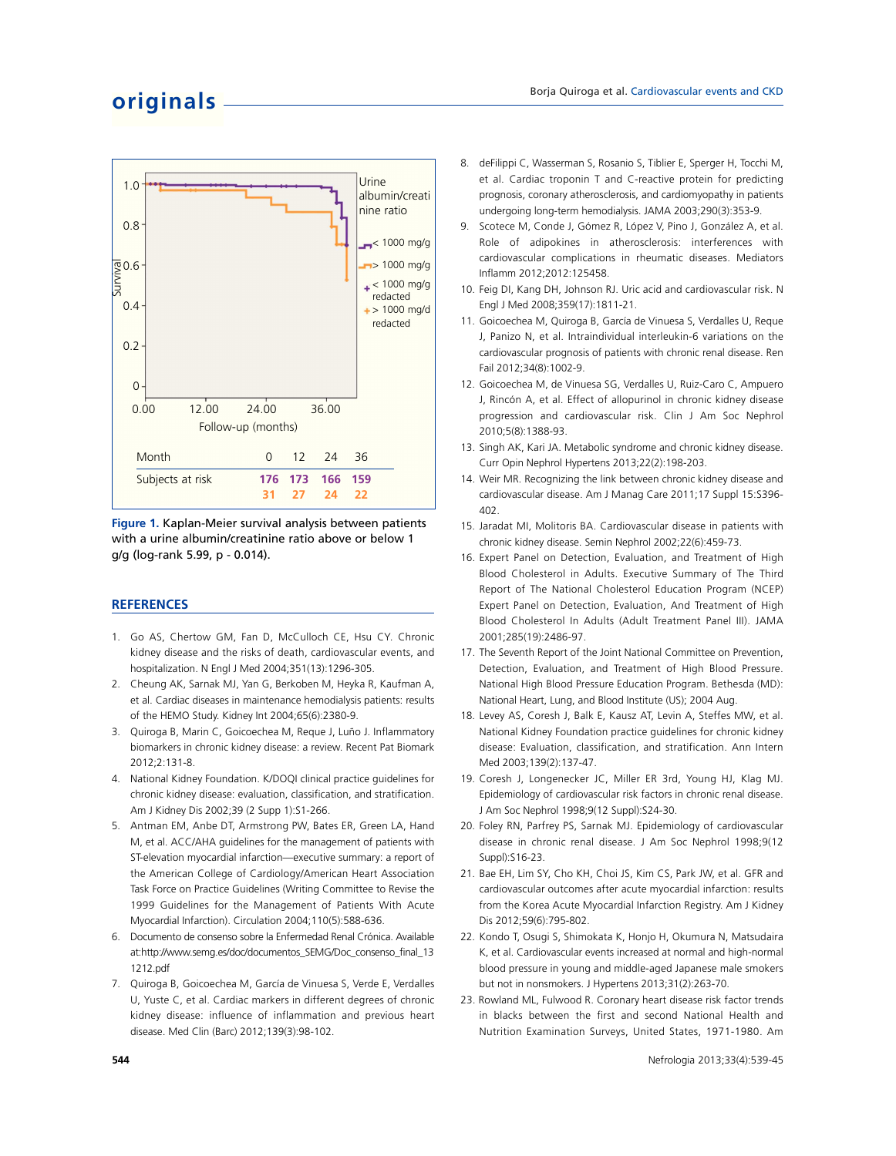## **originals**



**Figure 1.** Kaplan-Meier survival analysis between patients with a urine albumin/creatinine ratio above or below 1 g/g (log-rank 5.99, p - 0.014).

## **REFERENCES**

- 1. Go AS, Chertow GM, Fan D, McCulloch CE, Hsu CY. Chronic kidney disease and the risks of death, cardiovascular events, and hospitalization. N Engl J Med 2004;351(13):1296-305.
- 2. Cheung AK, Sarnak MJ, Yan G, Berkoben M, Heyka R, Kaufman A, et al. Cardiac diseases in maintenance hemodialysis patients: results of the HEMO Study. Kidney Int 2004;65(6):2380-9.
- 3. Quiroga B, Marin C, Goicoechea M, Reque J, Luño J. Inflammatory biomarkers in chronic kidney disease: a review. Recent Pat Biomark 2012;2:131-8.
- 4. National Kidney Foundation. K/DOQI clinical practice guidelines for chronic kidney disease: evaluation, classification, and stratification. Am J Kidney Dis 2002;39 (2 Supp 1):S1-266.
- 5. Antman EM, Anbe DT, Armstrong PW, Bates ER, Green LA, Hand M, et al. ACC/AHA guidelines for the management of patients with ST-elevation myocardial infarction—executive summary: a report of the American College of Cardiology/American Heart Association Task Force on Practice Guidelines (Writing Committee to Revise the 1999 Guidelines for the Management of Patients With Acute Myocardial Infarction). Circulation 2004;110(5):588-636.
- 6. Documento de consenso sobre la Enfermedad Renal Crónica. Available at:http://www.semg.es/doc/documentos\_SEMG/Doc\_consenso\_final\_13 1212.pdf
- 7. Quiroga B, Goicoechea M, García de Vinuesa S, Verde E, Verdalles U, Yuste C, et al. Cardiac markers in different degrees of chronic kidney disease: influence of inflammation and previous heart disease. Med Clin (Barc) 2012;139(3):98-102.
- 8. deFilippi C, Wasserman S, Rosanio S, Tiblier E, Sperger H, Tocchi M, et al. Cardiac troponin T and C-reactive protein for predicting prognosis, coronary atherosclerosis, and cardiomyopathy in patients undergoing long-term hemodialysis. JAMA 2003;290(3):353-9.
- 9. Scotece M, Conde J, Gómez R, López V, Pino J, González A, et al. Role of adipokines in atherosclerosis: interferences with cardiovascular complications in rheumatic diseases. Mediators Inflamm 2012;2012:125458.
- 10. Feig DI, Kang DH, Johnson RJ. Uric acid and cardiovascular risk. N Engl J Med 2008;359(17):1811-21.
- 11. Goicoechea M, Quiroga B, García de Vinuesa S, Verdalles U, Reque J, Panizo N, et al. Intraindividual interleukin-6 variations on the cardiovascular prognosis of patients with chronic renal disease. Ren Fail 2012;34(8):1002-9.
- 12. Goicoechea M, de Vinuesa SG, Verdalles U, Ruiz-Caro C, Ampuero J, Rincón A, et al. Effect of allopurinol in chronic kidney disease progression and cardiovascular risk. Clin J Am Soc Nephrol 2010;5(8):1388-93.
- 13. Singh AK, Kari JA. Metabolic syndrome and chronic kidney disease. Curr Opin Nephrol Hypertens 2013;22(2):198-203.
- 14. Weir MR. Recognizing the link between chronic kidney disease and cardiovascular disease. Am J Manag Care 2011;17 Suppl 15:S396- 402.
- 15. Jaradat MI, Molitoris BA. Cardiovascular disease in patients with chronic kidney disease. Semin Nephrol 2002;22(6):459-73.
- 16. Expert Panel on Detection, Evaluation, and Treatment of High Blood Cholesterol in Adults. Executive Summary of The Third Report of The National Cholesterol Education Program (NCEP) Expert Panel on Detection, Evaluation, And Treatment of High Blood Cholesterol In Adults (Adult Treatment Panel III). JAMA 2001;285(19):2486-97.
- 17. The Seventh Report of the Joint National Committee on Prevention, Detection, Evaluation, and Treatment of High Blood Pressure. National High Blood Pressure Education Program. Bethesda (MD): National Heart, Lung, and Blood Institute (US); 2004 Aug.
- 18. Levey AS, Coresh J, Balk E, Kausz AT, Levin A, Steffes MW, et al. National Kidney Foundation practice guidelines for chronic kidney disease: Evaluation, classification, and stratification. Ann Intern Med 2003;139(2):137-47.
- 19. Coresh J, Longenecker JC, Miller ER 3rd, Young HJ, Klag MJ. Epidemiology of cardiovascular risk factors in chronic renal disease. J Am Soc Nephrol 1998;9(12 Suppl):S24-30.
- 20. Foley RN, Parfrey PS, Sarnak MJ. Epidemiology of cardiovascular disease in chronic renal disease. J Am Soc Nephrol 1998;9(12 Suppl):S16-23.
- 21. Bae EH, Lim SY, Cho KH, Choi JS, Kim CS, Park JW, et al. GFR and cardiovascular outcomes after acute myocardial infarction: results from the Korea Acute Myocardial Infarction Registry. Am J Kidney Dis 2012;59(6):795-802.
- 22. Kondo T, Osugi S, Shimokata K, Honjo H, Okumura N, Matsudaira K, et al. Cardiovascular events increased at normal and high-normal blood pressure in young and middle-aged Japanese male smokers but not in nonsmokers. J Hypertens 2013;31(2):263-70.
- 23. Rowland ML, Fulwood R. Coronary heart disease risk factor trends in blacks between the first and second National Health and Nutrition Examination Surveys, United States, 1971-1980. Am